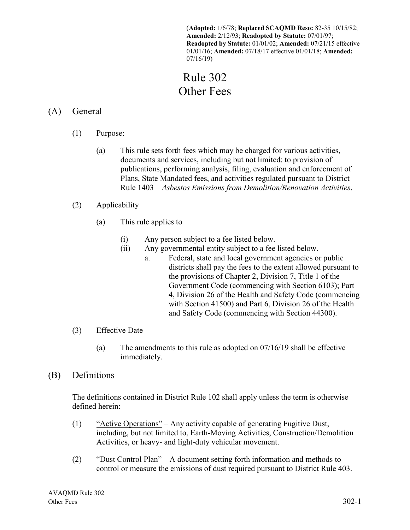(**Adopted:** 1/6/78; **Replaced SCAQMD Reso:** 82-35 10/15/82; **Amended:** 2/12/93; **Readopted by Statute:** 07/01/97; **Readopted by Statute:** 01/01/02; **Amended:** 07/21/15 effective 01/01/16; **Amended:** 07/18/17 effective 01/01/18; **Amended:**  07/16/19)

# Rule 302 Other Fees

## (A) General

- (1) Purpose:
	- (a) This rule sets forth fees which may be charged for various activities, documents and services, including but not limited: to provision of publications, performing analysis, filing, evaluation and enforcement of Plans, State Mandated fees, and activities regulated pursuant to District Rule 1403 – *Asbestos Emissions from Demolition/Renovation Activities*.
- (2) Applicability
	- (a) This rule applies to
		- (i) Any person subject to a fee listed below.
		- (ii) Any governmental entity subject to a fee listed below.
			- a. Federal, state and local government agencies or public districts shall pay the fees to the extent allowed pursuant to the provisions of Chapter 2, Division 7, Title 1 of the Government Code (commencing with Section 6103); Part 4, Division 26 of the Health and Safety Code (commencing with Section 41500) and Part 6, Division 26 of the Health and Safety Code (commencing with Section 44300).

#### (3) Effective Date

(a) The amendments to this rule as adopted on 07/16/19 shall be effective immediately.

## (B) Definitions

The definitions contained in District Rule 102 shall apply unless the term is otherwise defined herein:

- (1) "Active Operations" Any activity capable of generating Fugitive Dust, including, but not limited to, Earth-Moving Activities, Construction/Demolition Activities, or heavy- and light-duty vehicular movement.
- (2) "Dust Control Plan" A document setting forth information and methods to control or measure the emissions of dust required pursuant to District Rule 403.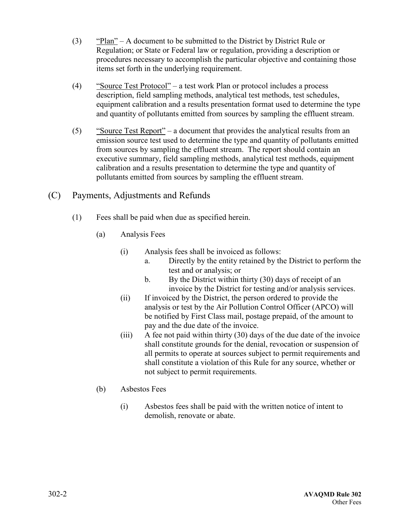- (3) "Plan" A document to be submitted to the District by District Rule or Regulation; or State or Federal law or regulation, providing a description or procedures necessary to accomplish the particular objective and containing those items set forth in the underlying requirement.
- (4) "Source Test Protocol" a test work Plan or protocol includes a process description, field sampling methods, analytical test methods, test schedules, equipment calibration and a results presentation format used to determine the type and quantity of pollutants emitted from sources by sampling the effluent stream.
- (5) "Source Test Report" a document that provides the analytical results from an emission source test used to determine the type and quantity of pollutants emitted from sources by sampling the effluent stream. The report should contain an executive summary, field sampling methods, analytical test methods, equipment calibration and a results presentation to determine the type and quantity of pollutants emitted from sources by sampling the effluent stream.
- (C) Payments, Adjustments and Refunds
	- (1) Fees shall be paid when due as specified herein.
		- (a) Analysis Fees
			- (i) Analysis fees shall be invoiced as follows:
				- a. Directly by the entity retained by the District to perform the test and or analysis; or
				- b. By the District within thirty (30) days of receipt of an invoice by the District for testing and/or analysis services.
			- (ii) If invoiced by the District, the person ordered to provide the analysis or test by the Air Pollution Control Officer (APCO) will be notified by First Class mail, postage prepaid, of the amount to pay and the due date of the invoice.
			- (iii) A fee not paid within thirty (30) days of the due date of the invoice shall constitute grounds for the denial, revocation or suspension of all permits to operate at sources subject to permit requirements and shall constitute a violation of this Rule for any source, whether or not subject to permit requirements.
		- (b) Asbestos Fees
			- (i) Asbestos fees shall be paid with the written notice of intent to demolish, renovate or abate.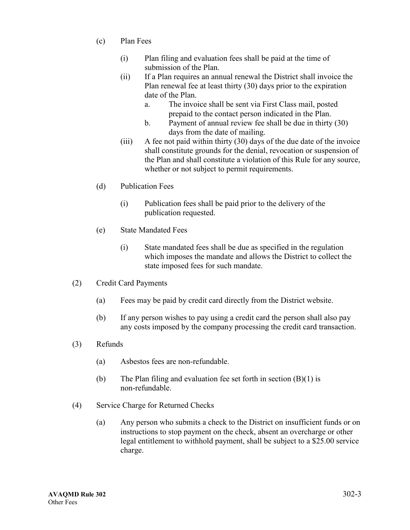- (c) Plan Fees
	- (i) Plan filing and evaluation fees shall be paid at the time of submission of the Plan.
	- (ii) If a Plan requires an annual renewal the District shall invoice the Plan renewal fee at least thirty (30) days prior to the expiration date of the Plan.
		- a. The invoice shall be sent via First Class mail, posted prepaid to the contact person indicated in the Plan.
		- b. Payment of annual review fee shall be due in thirty (30) days from the date of mailing.
	- (iii) A fee not paid within thirty (30) days of the due date of the invoice shall constitute grounds for the denial, revocation or suspension of the Plan and shall constitute a violation of this Rule for any source, whether or not subject to permit requirements.
- (d) Publication Fees
	- (i) Publication fees shall be paid prior to the delivery of the publication requested.
- (e) State Mandated Fees
	- (i) State mandated fees shall be due as specified in the regulation which imposes the mandate and allows the District to collect the state imposed fees for such mandate.
- (2) Credit Card Payments
	- (a) Fees may be paid by credit card directly from the District website.
	- (b) If any person wishes to pay using a credit card the person shall also pay any costs imposed by the company processing the credit card transaction.
- (3) Refunds
	- (a) Asbestos fees are non-refundable.
	- (b) The Plan filing and evaluation fee set forth in section  $(B)(1)$  is non-refundable.
- (4) Service Charge for Returned Checks
	- (a) Any person who submits a check to the District on insufficient funds or on instructions to stop payment on the check, absent an overcharge or other legal entitlement to withhold payment, shall be subject to a \$25.00 service charge.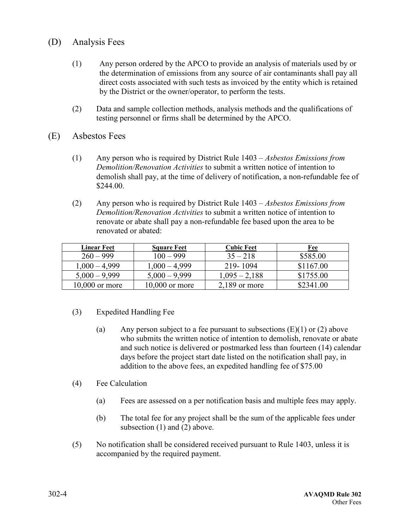- (D) Analysis Fees
	- (1) Any person ordered by the APCO to provide an analysis of materials used by or the determination of emissions from any source of air contaminants shall pay all direct costs associated with such tests as invoiced by the entity which is retained by the District or the owner/operator, to perform the tests.
	- (2) Data and sample collection methods, analysis methods and the qualifications of testing personnel or firms shall be determined by the APCO.
- (E) Asbestos Fees
	- (1) Any person who is required by District Rule 1403 *Asbestos Emissions from Demolition/Renovation Activities* to submit a written notice of intention to demolish shall pay, at the time of delivery of notification, a non-refundable fee of \$244.00.
	- (2) Any person who is required by District Rule 1403 *Asbestos Emissions from Demolition/Renovation Activities* to submit a written notice of intention to renovate or abate shall pay a non-refundable fee based upon the area to be renovated or abated:

| <b>Linear Feet</b> | <b>Square Feet</b> | <b>Cubic Feet</b> | Fee       |
|--------------------|--------------------|-------------------|-----------|
| $260 - 999$        | $100 - 999$        | $35 - 218$        | \$585.00  |
| $1,000 - 4,999$    | $1,000 - 4,999$    | 219-1094          | \$1167.00 |
| $5,000 - 9,999$    | $5,000 - 9,999$    | $1,095 - 2,188$   | \$1755.00 |
| $10,000$ or more   | $10,000$ or more   | $2,189$ or more   | \$2341.00 |

- (3) Expedited Handling Fee
	- (a) Any person subject to a fee pursuant to subsections  $(E)(1)$  or  $(2)$  above who submits the written notice of intention to demolish, renovate or abate and such notice is delivered or postmarked less than fourteen (14) calendar days before the project start date listed on the notification shall pay, in addition to the above fees, an expedited handling fee of \$75.00
- (4) Fee Calculation
	- (a) Fees are assessed on a per notification basis and multiple fees may apply.
	- (b) The total fee for any project shall be the sum of the applicable fees under subsection (1) and (2) above.
- (5) No notification shall be considered received pursuant to Rule 1403, unless it is accompanied by the required payment.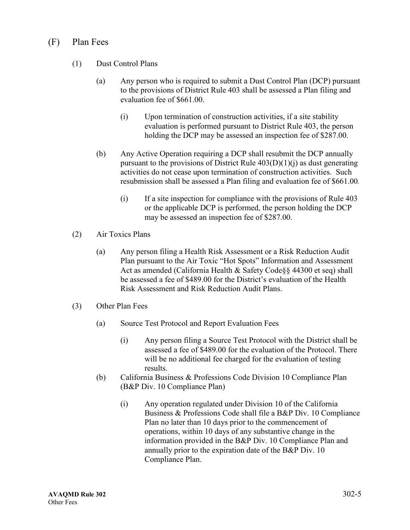### (F) Plan Fees

- (1) Dust Control Plans
	- (a) Any person who is required to submit a Dust Control Plan (DCP) pursuant to the provisions of District Rule 403 shall be assessed a Plan filing and evaluation fee of \$661.00.
		- (i) Upon termination of construction activities, if a site stability evaluation is performed pursuant to District Rule 403, the person holding the DCP may be assessed an inspection fee of \$287.00.
	- (b) Any Active Operation requiring a DCP shall resubmit the DCP annually pursuant to the provisions of District Rule  $403(D)(1)(i)$  as dust generating activities do not cease upon termination of construction activities. Such resubmission shall be assessed a Plan filing and evaluation fee of \$661.00*.*
		- (i) If a site inspection for compliance with the provisions of Rule 403 or the applicable DCP is performed, the person holding the DCP may be assessed an inspection fee of \$287.00.
- (2) Air Toxics Plans
	- (a) Any person filing a Health Risk Assessment or a Risk Reduction Audit Plan pursuant to the Air Toxic "Hot Spots" Information and Assessment Act as amended (California Health & Safety Code§§ 44300 et seq) shall be assessed a fee of \$489.00 for the District's evaluation of the Health Risk Assessment and Risk Reduction Audit Plans.
- (3) Other Plan Fees
	- (a) Source Test Protocol and Report Evaluation Fees
		- (i) Any person filing a Source Test Protocol with the District shall be assessed a fee of \$489.00 for the evaluation of the Protocol. There will be no additional fee charged for the evaluation of testing results.
	- (b) California Business & Professions Code Division 10 Compliance Plan (B&P Div. 10 Compliance Plan)
		- (i) Any operation regulated under Division 10 of the California Business & Professions Code shall file a B&P Div. 10 Compliance Plan no later than 10 days prior to the commencement of operations, within 10 days of any substantive change in the information provided in the B&P Div. 10 Compliance Plan and annually prior to the expiration date of the B&P Div. 10 Compliance Plan.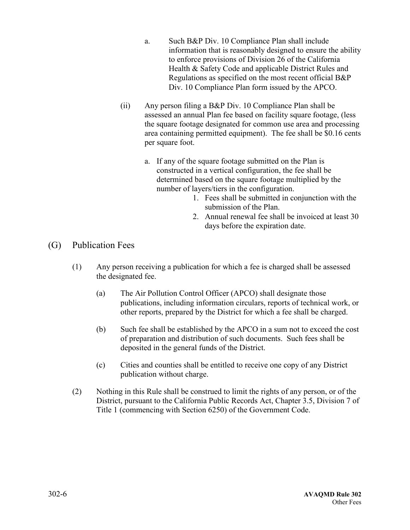- a. Such B&P Div. 10 Compliance Plan shall include information that is reasonably designed to ensure the ability to enforce provisions of Division 26 of the California Health & Safety Code and applicable District Rules and Regulations as specified on the most recent official B&P Div. 10 Compliance Plan form issued by the APCO.
- (ii) Any person filing a B&P Div. 10 Compliance Plan shall be assessed an annual Plan fee based on facility square footage, (less the square footage designated for common use area and processing area containing permitted equipment). The fee shall be \$0.16 cents per square foot.
	- a. If any of the square footage submitted on the Plan is constructed in a vertical configuration, the fee shall be determined based on the square footage multiplied by the number of layers/tiers in the configuration.
		- 1. Fees shall be submitted in conjunction with the submission of the Plan.
		- 2. Annual renewal fee shall be invoiced at least 30 days before the expiration date.

- (G) Publication Fees
	- (1) Any person receiving a publication for which a fee is charged shall be assessed the designated fee.
		- (a) The Air Pollution Control Officer (APCO) shall designate those publications, including information circulars, reports of technical work, or other reports, prepared by the District for which a fee shall be charged.
		- (b) Such fee shall be established by the APCO in a sum not to exceed the cost of preparation and distribution of such documents. Such fees shall be deposited in the general funds of the District.
		- (c) Cities and counties shall be entitled to receive one copy of any District publication without charge.
	- (2) Nothing in this Rule shall be construed to limit the rights of any person, or of the District, pursuant to the California Public Records Act, Chapter 3.5, Division 7 of Title 1 (commencing with Section 6250) of the Government Code.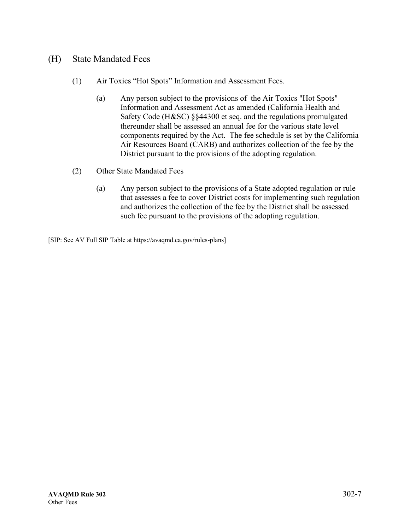#### (H) State Mandated Fees

- (1) Air Toxics "Hot Spots" Information and Assessment Fees.
	- (a) Any person subject to the provisions of the Air Toxics "Hot Spots" Information and Assessment Act as amended (California Health and Safety Code (H&SC) §§44300 et seq. and the regulations promulgated thereunder shall be assessed an annual fee for the various state level components required by the Act. The fee schedule is set by the California Air Resources Board (CARB) and authorizes collection of the fee by the District pursuant to the provisions of the adopting regulation.
- (2) Other State Mandated Fees
	- (a) Any person subject to the provisions of a State adopted regulation or rule that assesses a fee to cover District costs for implementing such regulation and authorizes the collection of the fee by the District shall be assessed such fee pursuant to the provisions of the adopting regulation.

[SIP: See AV Full SIP Table at https://avaqmd.ca.gov/rules-plans]